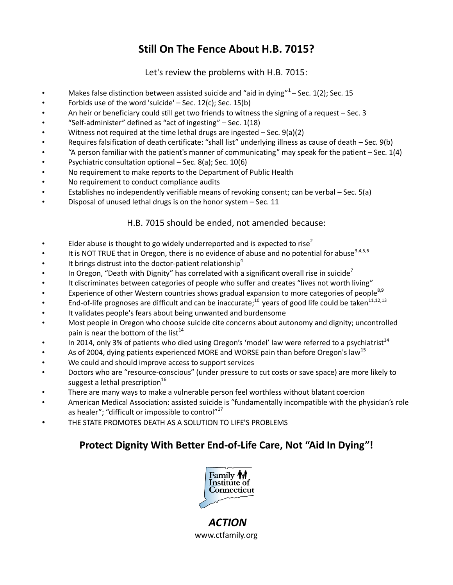# **Still On The Fence About H.B. 7015?**

### Let's review the problems with H.B. 7015:

- Makes false distinction between assisted suicide and "aid in dying" $1-$  Sec. 1(2); Sec. 15
- Forbids use of the word 'suicide' Sec. 12(c); Sec. 15(b)
- An heir or beneficiary could still get two friends to witness the signing of a request Sec. 3
- "Self-administer" defined as "act of ingesting" Sec. 1(18)
- Witness not required at the time lethal drugs are ingested Sec. 9(a)(2)
- Requires falsification of death certificate: "shall list" underlying illness as cause of death Sec. 9(b)
- "A person familiar with the patient's manner of communicating" may speak for the patient Sec. 1(4)
- Psychiatric consultation optional Sec. 8(a); Sec. 10(6)
- No requirement to make reports to the Department of Public Health
- No requirement to conduct compliance audits
- Establishes no independently verifiable means of revoking consent; can be verbal Sec. 5(a)
- Disposal of unused lethal drugs is on the honor system Sec. 11

### H.B. 7015 should be ended, not amended because:

- Elder abuse is thought to go widely underreported and is expected to rise<sup>2</sup>
- It is NOT TRUE that in Oregon, there is no evidence of abuse and no potential for abuse<sup>3,4,5,6</sup>
- It brings distrust into the doctor-patient relationship<sup>4</sup>
- In Oregon, "Death with Dignity" has correlated with a significant overall rise in suicide<sup>7</sup>
- It discriminates between categories of people who suffer and creates "lives not worth living"
- Experience of other Western countries shows gradual expansion to more categories of people<sup>8,9</sup>
- End-of-life prognoses are difficult and can be inaccurate;<sup>10</sup> years of good life could be taken<sup>11,12,13</sup>
- It validates people's fears about being unwanted and burdensome
- Most people in Oregon who choose suicide cite concerns about autonomy and dignity; uncontrolled pain is near the bottom of the list<sup>14</sup>
- In 2014, only 3% of patients who died using Oregon's 'model' law were referred to a psychiatrist<sup>14</sup>
- As of 2004, dying patients experienced MORE and WORSE pain than before Oregon's law<sup>15</sup>
- We could and should improve access to support services
- Doctors who are "resource-conscious" (under pressure to cut costs or save space) are more likely to suggest a lethal prescription $16$
- There are many ways to make a vulnerable person feel worthless without blatant coercion
- American Medical Association: assisted suicide is "fundamentally incompatible with the physician's role as healer"; "difficult or impossible to control"<sup>17</sup>
- THE STATE PROMOTES DEATH AS A SOLUTION TO LIFE'S PROBLEMS

## **Protect Dignity With Better End-of-Life Care, Not "Aid In Dying"!**



*ACTION* www.ctfamily.org